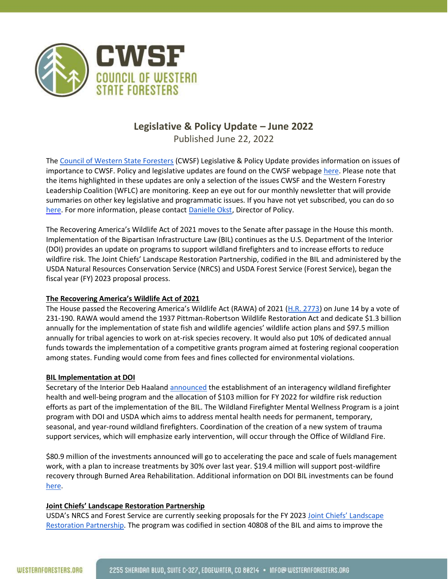

## **Legislative & Policy Update – June 2022**

Published June 22, 2022

The [Council of Western State Foresters](http://www.westernforesters.org/) (CWSF) Legislative & Policy Update provides information on issues of importance to CWSF. Policy and legislative updates are found on the CWSF webpage [here.](http://www.westernforesters.org/publications) Please note that the items highlighted in these updates are only a selection of the issues CWSF and the Western Forestry Leadership Coalition (WFLC) are monitoring. Keep an eye out for our monthly newsletter that will provide summaries on other key legislative and programmatic issues. If you have not yet subscribed, you can do so [here.](https://visitor.r20.constantcontact.com/manage/optin?v=001Nii7RMcJiLBYyBJwFcDfZ1SFHMSJgi-exm1Yw_QVlX04m9R3_S8mtUz8lKuvPp5cb4D2lBJjraX6VHl_oQ3KD6kOwfw4rh5eWs_J8aOBoPw%3D) For more information, please contact [Danielle Okst,](mailto:dokst@westernforesters.org) Director of Policy.

The Recovering America's Wildlife Act of 2021 moves to the Senate after passage in the House this month. Implementation of the Bipartisan Infrastructure Law (BIL) continues as the U.S. Department of the Interior (DOI) provides an update on programs to support wildland firefighters and to increase efforts to reduce wildfire risk. The Joint Chiefs' Landscape Restoration Partnership, codified in the BIL and administered by the USDA Natural Resources Conservation Service (NRCS) and USDA Forest Service (Forest Service), began the fiscal year (FY) 2023 proposal process.

## **The Recovering America's Wildlife Act of 2021**

The House passed the Recovering America's Wildlife Act (RAWA) of 2021 ([H.R. 2773\)](https://www.congress.gov/bill/117th-congress/house-bill/2773) on June 14 by a vote of 231-190. RAWA would amend the 1937 Pittman-Robertson Wildlife Restoration Act and dedicate \$1.3 billion annually for the implementation of state fish and wildlife agencies' wildlife action plans and \$97.5 million annually for tribal agencies to work on at-risk species recovery. It would also put 10% of dedicated annual funds towards the implementation of a competitive grants program aimed at fostering regional cooperation among states. Funding would come from fees and fines collected for environmental violations.

## **BIL Implementation at DOI**

Secretary of the Interior Deb Haalan[d announced](https://www.doi.gov/pressreleases/president-bidens-bipartisan-infrastructure-law-provide-103-million-wildfire-mitigation) the establishment of an interagency wildland firefighter health and well-being program and the allocation of \$103 million for FY 2022 for wildfire risk reduction efforts as part of the implementation of the BIL. The Wildland Firefighter Mental Wellness Program is a joint program with DOI and USDA which aims to address mental health needs for permanent, temporary, seasonal, and year-round wildland firefighters. Coordination of the creation of a new system of trauma support services, which will emphasize early intervention, will occur through the Office of Wildland Fire.

\$80.9 million of the investments announced will go to accelerating the pace and scale of fuels management work, with a plan to increase treatments by 30% over last year. \$19.4 million will support post-wildfire recovery through Burned Area Rehabilitation. Additional information on DOI BIL investments can be found [here.](https://www.doi.gov/priorities/investing-americas-infrastructure/wildland-fire)

## **Joint Chiefs' Landscape Restoration Partnership**

USDA's NRCS and Forest Service are currently seeking proposals for the FY 2023 Joint Chiefs' Landscape [Restoration Partnership.](https://www.fs.usda.gov/news/releases/usda-seeks-proposals-joint-chiefs-landscape-restoration-partnership#:~:text=The%20U.S.%20Department%20of%20Agriculture,2022%2C%20for%20fiscal%20year%202023.) The program was codified in section 40808 of the BIL and aims to improve the